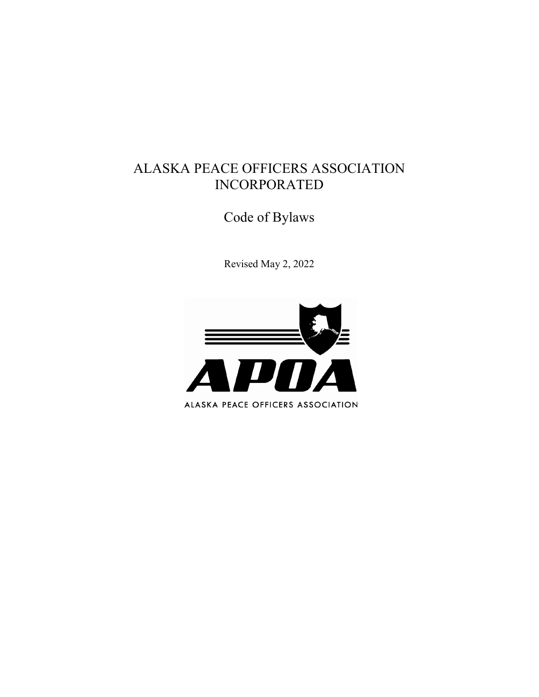# ALASKA PEACE OFFICERS ASSOCIATION INCORPORATED

Code of Bylaws

Revised May 2, 2022

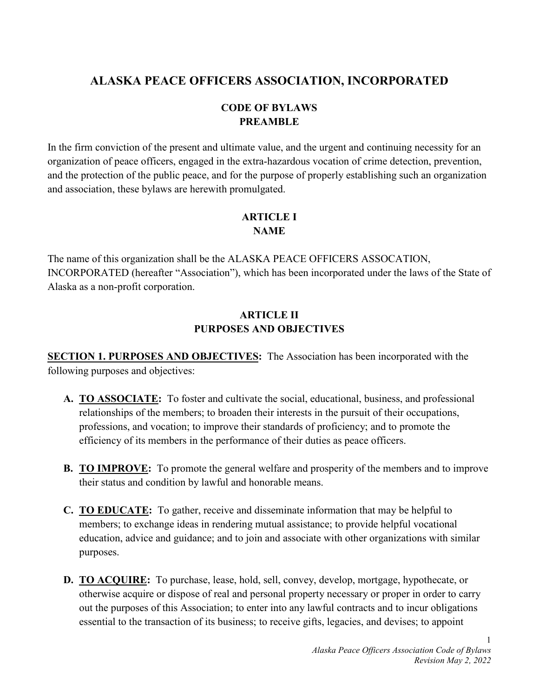# **ALASKA PEACE OFFICERS ASSOCIATION, INCORPORATED**

# **CODE OF BYLAWS PREAMBLE**

In the firm conviction of the present and ultimate value, and the urgent and continuing necessity for an organization of peace officers, engaged in the extra-hazardous vocation of crime detection, prevention, and the protection of the public peace, and for the purpose of properly establishing such an organization and association, these bylaws are herewith promulgated.

#### **ARTICLE I NAME**

The name of this organization shall be the ALASKA PEACE OFFICERS ASSOCATION, INCORPORATED (hereafter "Association"), which has been incorporated under the laws of the State of Alaska as a non-profit corporation.

# **ARTICLE II PURPOSES AND OBJECTIVES**

**SECTION 1. PURPOSES AND OBJECTIVES:** The Association has been incorporated with the following purposes and objectives:

- **A. TO ASSOCIATE:** To foster and cultivate the social, educational, business, and professional relationships of the members; to broaden their interests in the pursuit of their occupations, professions, and vocation; to improve their standards of proficiency; and to promote the efficiency of its members in the performance of their duties as peace officers.
- **B. TO IMPROVE:** To promote the general welfare and prosperity of the members and to improve their status and condition by lawful and honorable means.
- **C. TO EDUCATE:** To gather, receive and disseminate information that may be helpful to members; to exchange ideas in rendering mutual assistance; to provide helpful vocational education, advice and guidance; and to join and associate with other organizations with similar purposes.
- **D. TO ACQUIRE:** To purchase, lease, hold, sell, convey, develop, mortgage, hypothecate, or otherwise acquire or dispose of real and personal property necessary or proper in order to carry out the purposes of this Association; to enter into any lawful contracts and to incur obligations essential to the transaction of its business; to receive gifts, legacies, and devises; to appoint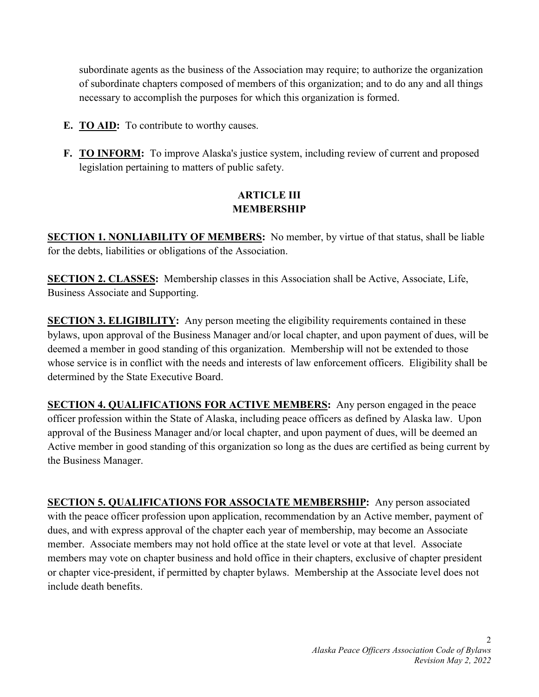subordinate agents as the business of the Association may require; to authorize the organization of subordinate chapters composed of members of this organization; and to do any and all things necessary to accomplish the purposes for which this organization is formed.

- **E. TO AID:** To contribute to worthy causes.
- **F. TO INFORM:** To improve Alaska's justice system, including review of current and proposed legislation pertaining to matters of public safety.

#### **ARTICLE III MEMBERSHIP**

**SECTION 1. NONLIABILITY OF MEMBERS:** No member, by virtue of that status, shall be liable for the debts, liabilities or obligations of the Association.

**SECTION 2. CLASSES:** Membership classes in this Association shall be Active, Associate, Life, Business Associate and Supporting.

**SECTION 3. ELIGIBILITY:** Any person meeting the eligibility requirements contained in these bylaws, upon approval of the Business Manager and/or local chapter, and upon payment of dues, will be deemed a member in good standing of this organization. Membership will not be extended to those whose service is in conflict with the needs and interests of law enforcement officers. Eligibility shall be determined by the State Executive Board.

**SECTION 4. QUALIFICATIONS FOR ACTIVE MEMBERS:** Any person engaged in the peace officer profession within the State of Alaska, including peace officers as defined by Alaska law. Upon approval of the Business Manager and/or local chapter, and upon payment of dues, will be deemed an Active member in good standing of this organization so long as the dues are certified as being current by the Business Manager.

**SECTION 5. QUALIFICATIONS FOR ASSOCIATE MEMBERSHIP:** Any person associated with the peace officer profession upon application, recommendation by an Active member, payment of dues, and with express approval of the chapter each year of membership, may become an Associate member. Associate members may not hold office at the state level or vote at that level. Associate members may vote on chapter business and hold office in their chapters, exclusive of chapter president or chapter vice-president, if permitted by chapter bylaws. Membership at the Associate level does not include death benefits.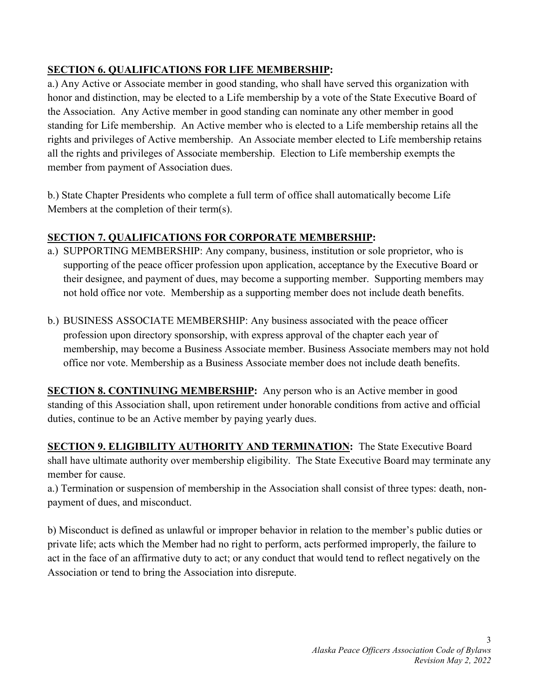# **SECTION 6. QUALIFICATIONS FOR LIFE MEMBERSHIP:**

a.) Any Active or Associate member in good standing, who shall have served this organization with honor and distinction, may be elected to a Life membership by a vote of the State Executive Board of the Association. Any Active member in good standing can nominate any other member in good standing for Life membership. An Active member who is elected to a Life membership retains all the rights and privileges of Active membership. An Associate member elected to Life membership retains all the rights and privileges of Associate membership. Election to Life membership exempts the member from payment of Association dues.

b.) State Chapter Presidents who complete a full term of office shall automatically become Life Members at the completion of their term(s).

#### **SECTION 7. QUALIFICATIONS FOR CORPORATE MEMBERSHIP:**

- a.) SUPPORTING MEMBERSHIP: Any company, business, institution or sole proprietor, who is supporting of the peace officer profession upon application, acceptance by the Executive Board or their designee, and payment of dues, may become a supporting member. Supporting members may not hold office nor vote. Membership as a supporting member does not include death benefits.
- b.) BUSINESS ASSOCIATE MEMBERSHIP: Any business associated with the peace officer profession upon directory sponsorship, with express approval of the chapter each year of membership, may become a Business Associate member. Business Associate members may not hold office nor vote. Membership as a Business Associate member does not include death benefits.

**SECTION 8. CONTINUING MEMBERSHIP:** Any person who is an Active member in good standing of this Association shall, upon retirement under honorable conditions from active and official duties, continue to be an Active member by paying yearly dues.

**SECTION 9. ELIGIBILITY AUTHORITY AND TERMINATION:** The State Executive Board shall have ultimate authority over membership eligibility. The State Executive Board may terminate any member for cause.

a.) Termination or suspension of membership in the Association shall consist of three types: death, nonpayment of dues, and misconduct.

b) Misconduct is defined as unlawful or improper behavior in relation to the member's public duties or private life; acts which the Member had no right to perform, acts performed improperly, the failure to act in the face of an affirmative duty to act; or any conduct that would tend to reflect negatively on the Association or tend to bring the Association into disrepute.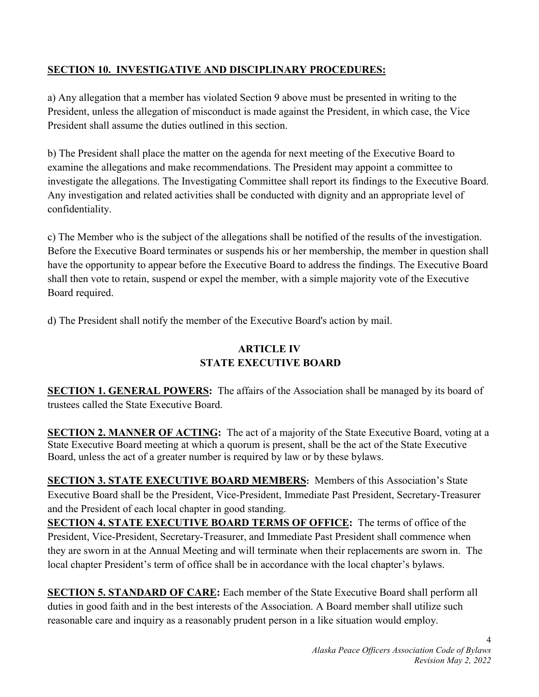# **SECTION 10. INVESTIGATIVE AND DISCIPLINARY PROCEDURES:**

a) Any allegation that a member has violated Section 9 above must be presented in writing to the President, unless the allegation of misconduct is made against the President, in which case, the Vice President shall assume the duties outlined in this section.

b) The President shall place the matter on the agenda for next meeting of the Executive Board to examine the allegations and make recommendations. The President may appoint a committee to investigate the allegations. The Investigating Committee shall report its findings to the Executive Board. Any investigation and related activities shall be conducted with dignity and an appropriate level of confidentiality.

c) The Member who is the subject of the allegations shall be notified of the results of the investigation. Before the Executive Board terminates or suspends his or her membership, the member in question shall have the opportunity to appear before the Executive Board to address the findings. The Executive Board shall then vote to retain, suspend or expel the member, with a simple majority vote of the Executive Board required.

d) The President shall notify the member of the Executive Board's action by mail.

# **ARTICLE IV STATE EXECUTIVE BOARD**

**SECTION 1. GENERAL POWERS:** The affairs of the Association shall be managed by its board of trustees called the State Executive Board.

**SECTION 2. MANNER OF ACTING:** The act of a majority of the State Executive Board, voting at a State Executive Board meeting at which a quorum is present, shall be the act of the State Executive Board, unless the act of a greater number is required by law or by these bylaws.

**SECTION 3. STATE EXECUTIVE BOARD MEMBERS:** Members of this Association's State Executive Board shall be the President, Vice-President, Immediate Past President, Secretary-Treasurer and the President of each local chapter in good standing.

**SECTION 4. STATE EXECUTIVE BOARD TERMS OF OFFICE:** The terms of office of the President, Vice-President, Secretary-Treasurer, and Immediate Past President shall commence when they are sworn in at the Annual Meeting and will terminate when their replacements are sworn in. The local chapter President's term of office shall be in accordance with the local chapter's bylaws.

**SECTION 5. STANDARD OF CARE:** Each member of the State Executive Board shall perform all duties in good faith and in the best interests of the Association. A Board member shall utilize such reasonable care and inquiry as a reasonably prudent person in a like situation would employ.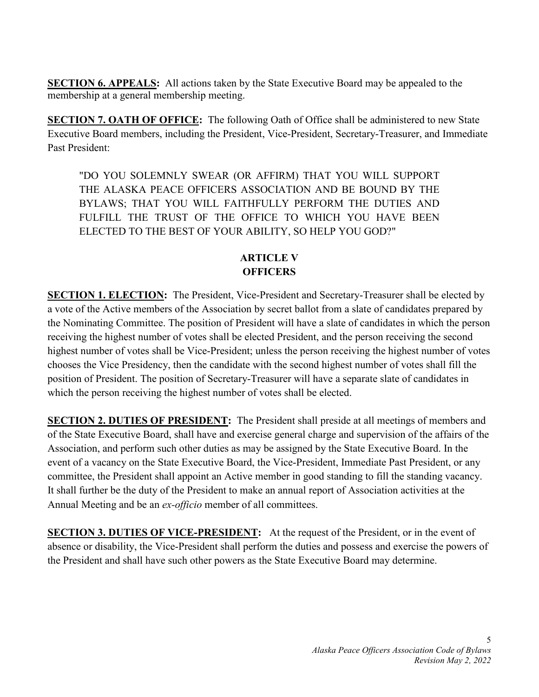**SECTION 6. APPEALS:** All actions taken by the State Executive Board may be appealed to the membership at a general membership meeting.

**SECTION 7. OATH OF OFFICE:** The following Oath of Office shall be administered to new State Executive Board members, including the President, Vice-President, Secretary-Treasurer, and Immediate Past President:

"DO YOU SOLEMNLY SWEAR (OR AFFIRM) THAT YOU WILL SUPPORT THE ALASKA PEACE OFFICERS ASSOCIATION AND BE BOUND BY THE BYLAWS; THAT YOU WILL FAITHFULLY PERFORM THE DUTIES AND FULFILL THE TRUST OF THE OFFICE TO WHICH YOU HAVE BEEN ELECTED TO THE BEST OF YOUR ABILITY, SO HELP YOU GOD?"

#### **ARTICLE V OFFICERS**

**SECTION 1. ELECTION:** The President, Vice-President and Secretary-Treasurer shall be elected by a vote of the Active members of the Association by secret ballot from a slate of candidates prepared by the Nominating Committee. The position of President will have a slate of candidates in which the person receiving the highest number of votes shall be elected President, and the person receiving the second highest number of votes shall be Vice-President; unless the person receiving the highest number of votes chooses the Vice Presidency, then the candidate with the second highest number of votes shall fill the position of President. The position of Secretary-Treasurer will have a separate slate of candidates in which the person receiving the highest number of votes shall be elected.

**SECTION 2. DUTIES OF PRESIDENT:** The President shall preside at all meetings of members and of the State Executive Board, shall have and exercise general charge and supervision of the affairs of the Association, and perform such other duties as may be assigned by the State Executive Board. In the event of a vacancy on the State Executive Board, the Vice-President, Immediate Past President, or any committee, the President shall appoint an Active member in good standing to fill the standing vacancy. It shall further be the duty of the President to make an annual report of Association activities at the Annual Meeting and be an *ex-officio* member of all committees.

**SECTION 3. DUTIES OF VICE-PRESIDENT:** At the request of the President, or in the event of absence or disability, the Vice-President shall perform the duties and possess and exercise the powers of the President and shall have such other powers as the State Executive Board may determine.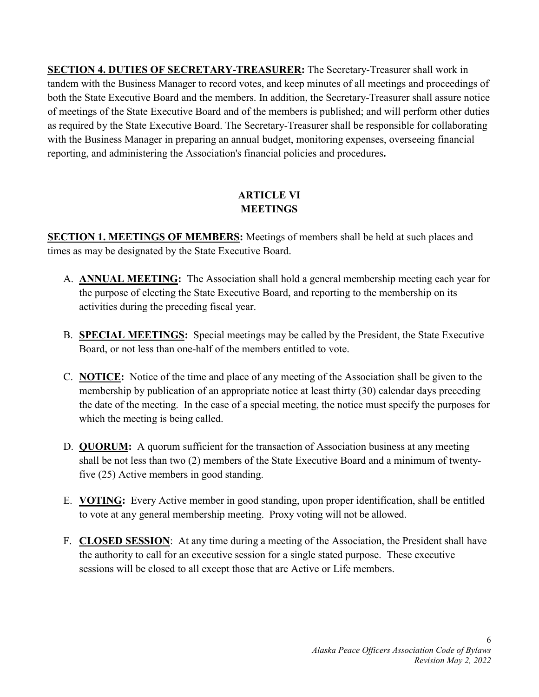**SECTION 4. DUTIES OF SECRETARY-TREASURER:** The Secretary-Treasurer shall work in tandem with the Business Manager to record votes, and keep minutes of all meetings and proceedings of both the State Executive Board and the members. In addition, the Secretary-Treasurer shall assure notice of meetings of the State Executive Board and of the members is published; and will perform other duties as required by the State Executive Board. The Secretary-Treasurer shall be responsible for collaborating with the Business Manager in preparing an annual budget, monitoring expenses, overseeing financial reporting, and administering the Association's financial policies and procedures**.** 

# **ARTICLE VI MEETINGS**

**SECTION 1. MEETINGS OF MEMBERS:** Meetings of members shall be held at such places and times as may be designated by the State Executive Board.

- A. **ANNUAL MEETING:** The Association shall hold a general membership meeting each year for the purpose of electing the State Executive Board, and reporting to the membership on its activities during the preceding fiscal year.
- B. **SPECIAL MEETINGS:** Special meetings may be called by the President, the State Executive Board, or not less than one-half of the members entitled to vote.
- C. **NOTICE:** Notice of the time and place of any meeting of the Association shall be given to the membership by publication of an appropriate notice at least thirty (30) calendar days preceding the date of the meeting. In the case of a special meeting, the notice must specify the purposes for which the meeting is being called.
- D. **QUORUM:** A quorum sufficient for the transaction of Association business at any meeting shall be not less than two (2) members of the State Executive Board and a minimum of twentyfive (25) Active members in good standing.
- E. **VOTING:** Every Active member in good standing, upon proper identification, shall be entitled to vote at any general membership meeting. Proxy voting will not be allowed.
- F. **CLOSED SESSION**: At any time during a meeting of the Association, the President shall have the authority to call for an executive session for a single stated purpose. These executive sessions will be closed to all except those that are Active or Life members.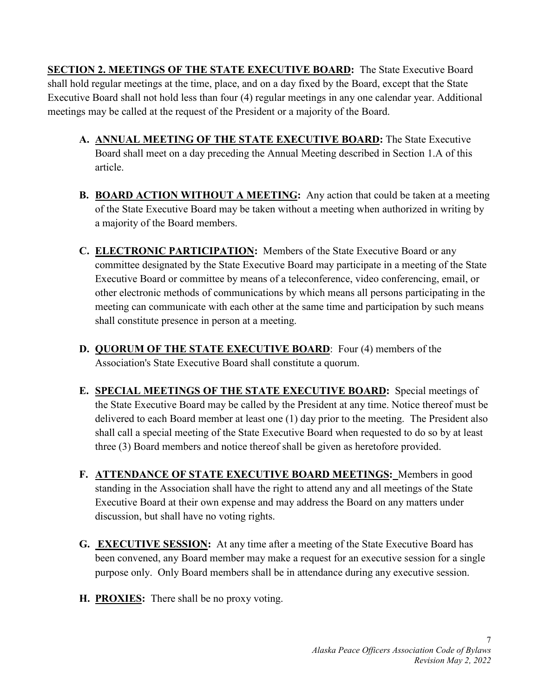**SECTION 2. MEETINGS OF THE STATE EXECUTIVE BOARD:** The State Executive Board shall hold regular meetings at the time, place, and on a day fixed by the Board, except that the State Executive Board shall not hold less than four (4) regular meetings in any one calendar year. Additional meetings may be called at the request of the President or a majority of the Board.

- **A. ANNUAL MEETING OF THE STATE EXECUTIVE BOARD:** The State Executive Board shall meet on a day preceding the Annual Meeting described in Section 1.A of this article.
- **B. BOARD ACTION WITHOUT A MEETING:** Any action that could be taken at a meeting of the State Executive Board may be taken without a meeting when authorized in writing by a majority of the Board members.
- **C. ELECTRONIC PARTICIPATION:** Members of the State Executive Board or any committee designated by the State Executive Board may participate in a meeting of the State Executive Board or committee by means of a teleconference, video conferencing, email, or other electronic methods of communications by which means all persons participating in the meeting can communicate with each other at the same time and participation by such means shall constitute presence in person at a meeting.
- **D. QUORUM OF THE STATE EXECUTIVE BOARD**: Four (4) members of the Association's State Executive Board shall constitute a quorum.
- **E. SPECIAL MEETINGS OF THE STATE EXECUTIVE BOARD:** Special meetings of the State Executive Board may be called by the President at any time. Notice thereof must be delivered to each Board member at least one (1) day prior to the meeting. The President also shall call a special meeting of the State Executive Board when requested to do so by at least three (3) Board members and notice thereof shall be given as heretofore provided.
- **F. ATTENDANCE OF STATE EXECUTIVE BOARD MEETINGS:** Members in good standing in the Association shall have the right to attend any and all meetings of the State Executive Board at their own expense and may address the Board on any matters under discussion, but shall have no voting rights.
- **G. EXECUTIVE SESSION:** At any time after a meeting of the State Executive Board has been convened, any Board member may make a request for an executive session for a single purpose only. Only Board members shall be in attendance during any executive session.
- **H. PROXIES:** There shall be no proxy voting.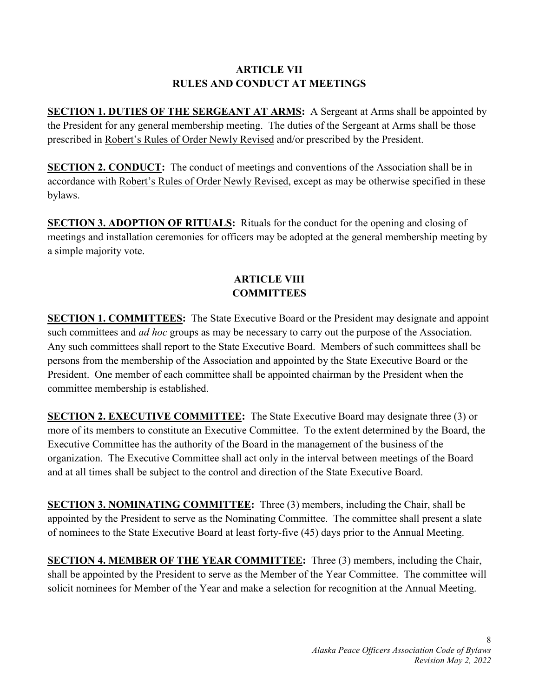# **ARTICLE VII RULES AND CONDUCT AT MEETINGS**

**SECTION 1. DUTIES OF THE SERGEANT AT ARMS:** A Sergeant at Arms shall be appointed by the President for any general membership meeting. The duties of the Sergeant at Arms shall be those prescribed in Robert's Rules of Order Newly Revised and/or prescribed by the President.

**SECTION 2. CONDUCT:** The conduct of meetings and conventions of the Association shall be in accordance with Robert's Rules of Order Newly Revised, except as may be otherwise specified in these bylaws.

**SECTION 3. ADOPTION OF RITUALS:** Rituals for the conduct for the opening and closing of meetings and installation ceremonies for officers may be adopted at the general membership meeting by a simple majority vote.

#### **ARTICLE VIII COMMITTEES**

**SECTION 1. COMMITTEES:** The State Executive Board or the President may designate and appoint such committees and *ad hoc* groups as may be necessary to carry out the purpose of the Association. Any such committees shall report to the State Executive Board. Members of such committees shall be persons from the membership of the Association and appointed by the State Executive Board or the President. One member of each committee shall be appointed chairman by the President when the committee membership is established.

**SECTION 2. EXECUTIVE COMMITTEE:** The State Executive Board may designate three (3) or more of its members to constitute an Executive Committee. To the extent determined by the Board, the Executive Committee has the authority of the Board in the management of the business of the organization. The Executive Committee shall act only in the interval between meetings of the Board and at all times shall be subject to the control and direction of the State Executive Board.

**SECTION 3. NOMINATING COMMITTEE:** Three (3) members, including the Chair, shall be appointed by the President to serve as the Nominating Committee. The committee shall present a slate of nominees to the State Executive Board at least forty-five (45) days prior to the Annual Meeting.

**SECTION 4. MEMBER OF THE YEAR COMMITTEE:** Three (3) members, including the Chair, shall be appointed by the President to serve as the Member of the Year Committee. The committee will solicit nominees for Member of the Year and make a selection for recognition at the Annual Meeting.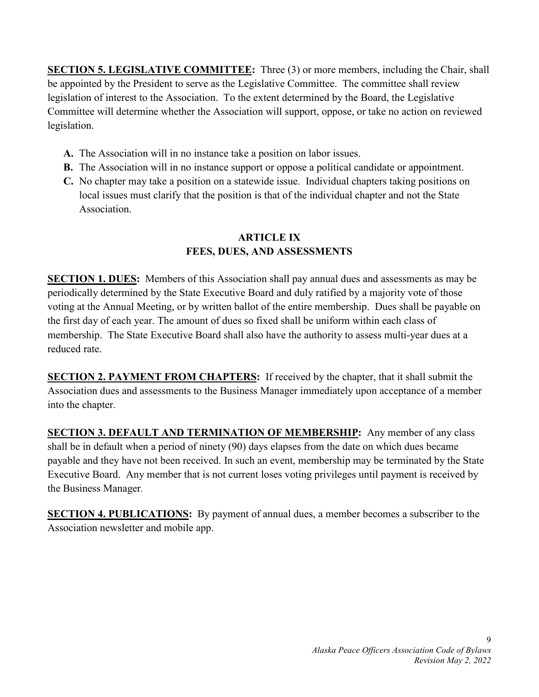**SECTION 5. LEGISLATIVE COMMITTEE:** Three (3) or more members, including the Chair, shall be appointed by the President to serve as the Legislative Committee. The committee shall review legislation of interest to the Association. To the extent determined by the Board, the Legislative Committee will determine whether the Association will support, oppose, or take no action on reviewed legislation.

- **A.** The Association will in no instance take a position on labor issues.
- **B.** The Association will in no instance support or oppose a political candidate or appointment.
- **C.** No chapter may take a position on a statewide issue. Individual chapters taking positions on local issues must clarify that the position is that of the individual chapter and not the State Association.

# **ARTICLE IX FEES, DUES, AND ASSESSMENTS**

**SECTION 1. DUES:** Members of this Association shall pay annual dues and assessments as may be periodically determined by the State Executive Board and duly ratified by a majority vote of those voting at the Annual Meeting, or by written ballot of the entire membership. Dues shall be payable on the first day of each year. The amount of dues so fixed shall be uniform within each class of membership. The State Executive Board shall also have the authority to assess multi-year dues at a reduced rate.

**SECTION 2. PAYMENT FROM CHAPTERS:** If received by the chapter, that it shall submit the Association dues and assessments to the Business Manager immediately upon acceptance of a member into the chapter.

**SECTION 3. DEFAULT AND TERMINATION OF MEMBERSHIP:** Any member of any class shall be in default when a period of ninety (90) days elapses from the date on which dues became payable and they have not been received. In such an event, membership may be terminated by the State Executive Board. Any member that is not current loses voting privileges until payment is received by the Business Manager.

**SECTION 4. PUBLICATIONS:** By payment of annual dues, a member becomes a subscriber to the Association newsletter and mobile app.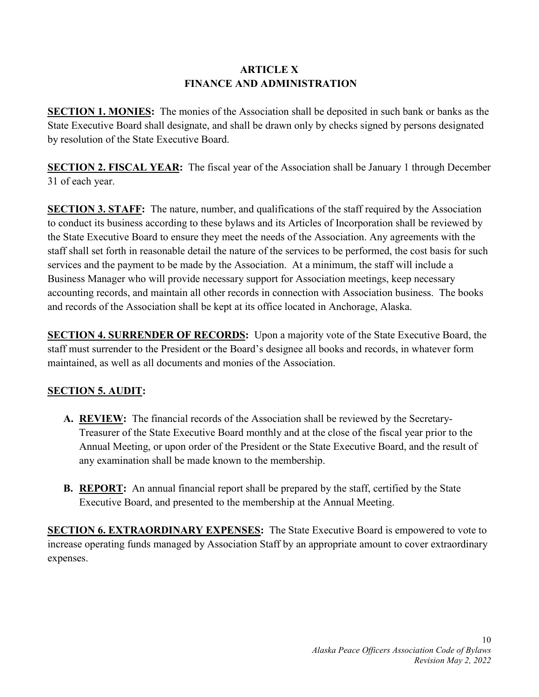#### **ARTICLE X FINANCE AND ADMINISTRATION**

**SECTION 1. MONIES:** The monies of the Association shall be deposited in such bank or banks as the State Executive Board shall designate, and shall be drawn only by checks signed by persons designated by resolution of the State Executive Board.

**SECTION 2. FISCAL YEAR:** The fiscal year of the Association shall be January 1 through December 31 of each year.

**SECTION 3. STAFF:** The nature, number, and qualifications of the staff required by the Association to conduct its business according to these bylaws and its Articles of Incorporation shall be reviewed by the State Executive Board to ensure they meet the needs of the Association. Any agreements with the staff shall set forth in reasonable detail the nature of the services to be performed, the cost basis for such services and the payment to be made by the Association. At a minimum, the staff will include a Business Manager who will provide necessary support for Association meetings, keep necessary accounting records, and maintain all other records in connection with Association business. The books and records of the Association shall be kept at its office located in Anchorage, Alaska.

**SECTION 4. SURRENDER OF RECORDS:** Upon a majority vote of the State Executive Board, the staff must surrender to the President or the Board's designee all books and records, in whatever form maintained, as well as all documents and monies of the Association.

# **SECTION 5. AUDIT:**

- **A. REVIEW:** The financial records of the Association shall be reviewed by the Secretary-Treasurer of the State Executive Board monthly and at the close of the fiscal year prior to the Annual Meeting, or upon order of the President or the State Executive Board, and the result of any examination shall be made known to the membership.
- **B. REPORT:** An annual financial report shall be prepared by the staff, certified by the State Executive Board, and presented to the membership at the Annual Meeting.

**SECTION 6. EXTRAORDINARY EXPENSES:** The State Executive Board is empowered to vote to increase operating funds managed by Association Staff by an appropriate amount to cover extraordinary expenses.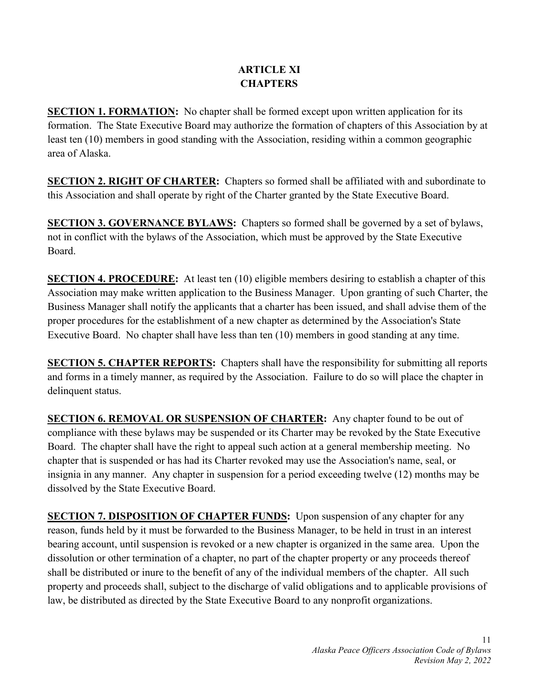#### **ARTICLE XI CHAPTERS**

**SECTION 1. FORMATION:** No chapter shall be formed except upon written application for its formation. The State Executive Board may authorize the formation of chapters of this Association by at least ten (10) members in good standing with the Association, residing within a common geographic area of Alaska.

**SECTION 2. RIGHT OF CHARTER:** Chapters so formed shall be affiliated with and subordinate to this Association and shall operate by right of the Charter granted by the State Executive Board.

**SECTION 3. GOVERNANCE BYLAWS:** Chapters so formed shall be governed by a set of bylaws, not in conflict with the bylaws of the Association, which must be approved by the State Executive Board.

**SECTION 4. PROCEDURE:** At least ten (10) eligible members desiring to establish a chapter of this Association may make written application to the Business Manager. Upon granting of such Charter, the Business Manager shall notify the applicants that a charter has been issued, and shall advise them of the proper procedures for the establishment of a new chapter as determined by the Association's State Executive Board. No chapter shall have less than ten (10) members in good standing at any time.

**SECTION 5. CHAPTER REPORTS:** Chapters shall have the responsibility for submitting all reports and forms in a timely manner, as required by the Association. Failure to do so will place the chapter in delinquent status.

**SECTION 6. REMOVAL OR SUSPENSION OF CHARTER:** Any chapter found to be out of compliance with these bylaws may be suspended or its Charter may be revoked by the State Executive Board. The chapter shall have the right to appeal such action at a general membership meeting. No chapter that is suspended or has had its Charter revoked may use the Association's name, seal, or insignia in any manner. Any chapter in suspension for a period exceeding twelve (12) months may be dissolved by the State Executive Board.

**SECTION 7. DISPOSITION OF CHAPTER FUNDS:** Upon suspension of any chapter for any reason, funds held by it must be forwarded to the Business Manager, to be held in trust in an interest bearing account, until suspension is revoked or a new chapter is organized in the same area. Upon the dissolution or other termination of a chapter, no part of the chapter property or any proceeds thereof shall be distributed or inure to the benefit of any of the individual members of the chapter. All such property and proceeds shall, subject to the discharge of valid obligations and to applicable provisions of law, be distributed as directed by the State Executive Board to any nonprofit organizations.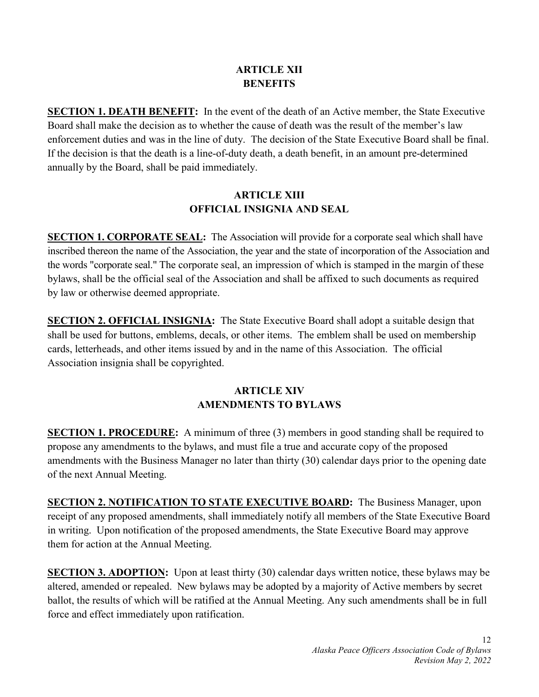#### **ARTICLE XII BENEFITS**

**SECTION 1. DEATH BENEFIT:** In the event of the death of an Active member, the State Executive Board shall make the decision as to whether the cause of death was the result of the member's law enforcement duties and was in the line of duty. The decision of the State Executive Board shall be final. If the decision is that the death is a line-of-duty death, a death benefit, in an amount pre-determined annually by the Board, shall be paid immediately.

#### **ARTICLE XIII OFFICIAL INSIGNIA AND SEAL**

**SECTION 1. CORPORATE SEAL:** The Association will provide for a corporate seal which shall have inscribed thereon the name of the Association, the year and the state of incorporation of the Association and the words "corporate seal." The corporate seal, an impression of which is stamped in the margin of these bylaws, shall be the official seal of the Association and shall be affixed to such documents as required by law or otherwise deemed appropriate.

**SECTION 2. OFFICIAL INSIGNIA:** The State Executive Board shall adopt a suitable design that shall be used for buttons, emblems, decals, or other items. The emblem shall be used on membership cards, letterheads, and other items issued by and in the name of this Association. The official Association insignia shall be copyrighted.

# **ARTICLE XIV AMENDMENTS TO BYLAWS**

**SECTION 1. PROCEDURE:** A minimum of three (3) members in good standing shall be required to propose any amendments to the bylaws, and must file a true and accurate copy of the proposed amendments with the Business Manager no later than thirty (30) calendar days prior to the opening date of the next Annual Meeting.

**SECTION 2. NOTIFICATION TO STATE EXECUTIVE BOARD:** The Business Manager, upon receipt of any proposed amendments, shall immediately notify all members of the State Executive Board in writing. Upon notification of the proposed amendments, the State Executive Board may approve them for action at the Annual Meeting.

**SECTION 3. ADOPTION:** Upon at least thirty (30) calendar days written notice, these bylaws may be altered, amended or repealed. New bylaws may be adopted by a majority of Active members by secret ballot, the results of which will be ratified at the Annual Meeting. Any such amendments shall be in full force and effect immediately upon ratification.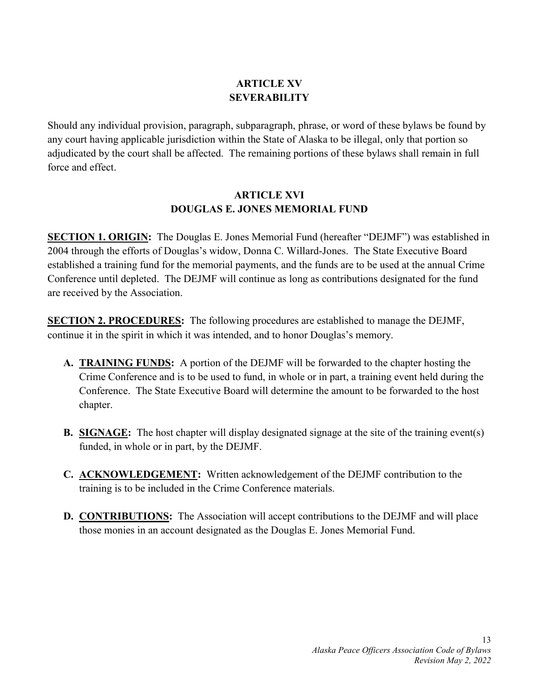# **ARTICLE XV SEVERABILITY**

Should any individual provision, paragraph, subparagraph, phrase, or word of these bylaws be found by any court having applicable jurisdiction within the State of Alaska to be illegal, only that portion so adjudicated by the court shall be affected. The remaining portions of these bylaws shall remain in full force and effect.

#### **ARTICLE XVI DOUGLAS E. JONES MEMORIAL FUND**

**SECTION 1. ORIGIN:** The Douglas E. Jones Memorial Fund (hereafter "DEJMF") was established in 2004 through the efforts of Douglas's widow, Donna C. Willard-Jones. The State Executive Board established a training fund for the memorial payments, and the funds are to be used at the annual Crime Conference until depleted. The DEJMF will continue as long as contributions designated for the fund are received by the Association.

**SECTION 2. PROCEDURES:** The following procedures are established to manage the DEJMF, continue it in the spirit in which it was intended, and to honor Douglas's memory.

- **A. TRAINING FUNDS:** A portion of the DEJMF will be forwarded to the chapter hosting the Crime Conference and is to be used to fund, in whole or in part, a training event held during the Conference. The State Executive Board will determine the amount to be forwarded to the host chapter.
- **B. SIGNAGE:** The host chapter will display designated signage at the site of the training event(s) funded, in whole or in part, by the DEJMF.
- **C. ACKNOWLEDGEMENT:** Written acknowledgement of the DEJMF contribution to the training is to be included in the Crime Conference materials.
- **D. CONTRIBUTIONS:** The Association will accept contributions to the DEJMF and will place those monies in an account designated as the Douglas E. Jones Memorial Fund.